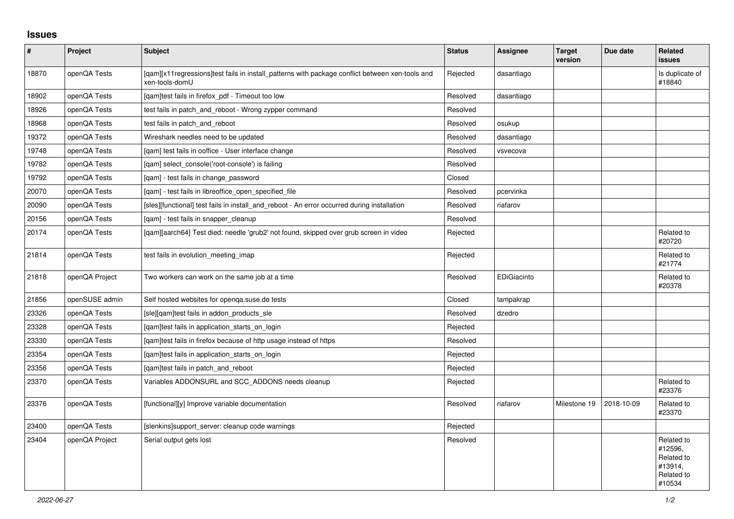## **Issues**

| $\vert$ # | Project        | Subject                                                                                                           | <b>Status</b> | Assignee    | <b>Target</b><br>version | Due date   | Related<br>issues                                                      |
|-----------|----------------|-------------------------------------------------------------------------------------------------------------------|---------------|-------------|--------------------------|------------|------------------------------------------------------------------------|
| 18870     | openQA Tests   | [qam][x11regressions]test fails in install_patterns with package conflict between xen-tools and<br>xen-tools-domU | Rejected      | dasantiago  |                          |            | Is duplicate of<br>#18840                                              |
| 18902     | openQA Tests   | [qam]test fails in firefox_pdf - Timeout too low                                                                  | Resolved      | dasantiago  |                          |            |                                                                        |
| 18926     | openQA Tests   | test fails in patch_and_reboot - Wrong zypper command                                                             | Resolved      |             |                          |            |                                                                        |
| 18968     | openQA Tests   | test fails in patch and reboot                                                                                    | Resolved      | osukup      |                          |            |                                                                        |
| 19372     | openQA Tests   | Wireshark needles need to be updated                                                                              | Resolved      | dasantiago  |                          |            |                                                                        |
| 19748     | openQA Tests   | [gam] test fails in ooffice - User interface change                                                               | Resolved      | vsvecova    |                          |            |                                                                        |
| 19782     | openQA Tests   | [gam] select console('root-console') is failing                                                                   | Resolved      |             |                          |            |                                                                        |
| 19792     | openQA Tests   | [gam] - test fails in change password                                                                             | Closed        |             |                          |            |                                                                        |
| 20070     | openQA Tests   | [gam] - test fails in libreoffice open specified file                                                             | Resolved      | pcervinka   |                          |            |                                                                        |
| 20090     | openQA Tests   | [sles][functional] test fails in install and reboot - An error occurred during installation                       | Resolved      | riafarov    |                          |            |                                                                        |
| 20156     | openQA Tests   | [gam] - test fails in snapper cleanup                                                                             | Resolved      |             |                          |            |                                                                        |
| 20174     | openQA Tests   | [qam][aarch64] Test died: needle 'grub2' not found, skipped over grub screen in video                             | Rejected      |             |                          |            | Related to<br>#20720                                                   |
| 21814     | openQA Tests   | test fails in evolution meeting imap                                                                              | Rejected      |             |                          |            | Related to<br>#21774                                                   |
| 21818     | openQA Project | Two workers can work on the same job at a time                                                                    | Resolved      | EDiGiacinto |                          |            | Related to<br>#20378                                                   |
| 21856     | openSUSE admin | Self hosted websites for openga.suse.de tests                                                                     | Closed        | tampakrap   |                          |            |                                                                        |
| 23326     | openQA Tests   | [sle][qam]test fails in addon_products_sle                                                                        | Resolved      | dzedro      |                          |            |                                                                        |
| 23328     | openQA Tests   | [gam]test fails in application_starts_on_login                                                                    | Rejected      |             |                          |            |                                                                        |
| 23330     | openQA Tests   | [qam]test fails in firefox because of http usage instead of https                                                 | Resolved      |             |                          |            |                                                                        |
| 23354     | openQA Tests   | [qam]test fails in application_starts_on_login                                                                    | Rejected      |             |                          |            |                                                                        |
| 23356     | openQA Tests   | [gam]test fails in patch_and_reboot                                                                               | Rejected      |             |                          |            |                                                                        |
| 23370     | openQA Tests   | Variables ADDONSURL and SCC_ADDONS needs cleanup                                                                  | Rejected      |             |                          |            | Related to<br>#23376                                                   |
| 23376     | openQA Tests   | [functional][y] Improve variable documentation                                                                    | Resolved      | riafarov    | Milestone 19             | 2018-10-09 | Related to<br>#23370                                                   |
| 23400     | openQA Tests   | [slenkins] support server: cleanup code warnings                                                                  | Rejected      |             |                          |            |                                                                        |
| 23404     | openQA Project | Serial output gets lost                                                                                           | Resolved      |             |                          |            | Related to<br>#12596,<br>Related to<br>#13914,<br>Related to<br>#10534 |